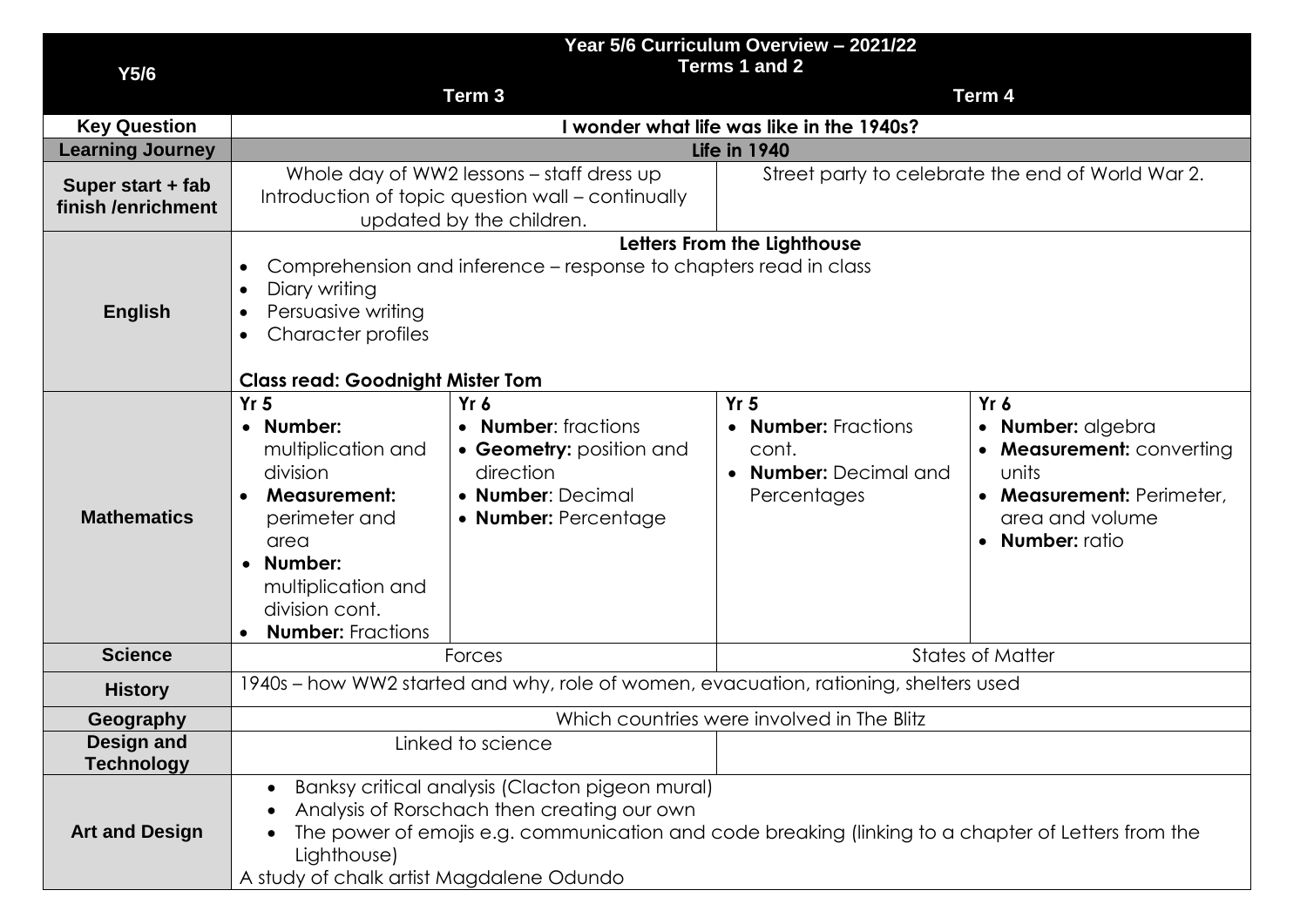|                                         | Year 5/6 Curriculum Overview - 2021/22<br>Terms 1 and 2                                                                                                                                                                                                         |                                                                                                                            |                                                                                         |                                                                                                                                           |  |  |
|-----------------------------------------|-----------------------------------------------------------------------------------------------------------------------------------------------------------------------------------------------------------------------------------------------------------------|----------------------------------------------------------------------------------------------------------------------------|-----------------------------------------------------------------------------------------|-------------------------------------------------------------------------------------------------------------------------------------------|--|--|
| Y5/6                                    |                                                                                                                                                                                                                                                                 | Term <sub>3</sub>                                                                                                          |                                                                                         | Term 4                                                                                                                                    |  |  |
| <b>Key Question</b>                     | I wonder what life was like in the 1940s?                                                                                                                                                                                                                       |                                                                                                                            |                                                                                         |                                                                                                                                           |  |  |
| <b>Learning Journey</b>                 | <b>Life in 1940</b>                                                                                                                                                                                                                                             |                                                                                                                            |                                                                                         |                                                                                                                                           |  |  |
| Super start + fab<br>finish /enrichment |                                                                                                                                                                                                                                                                 | Whole day of WW2 lessons – staff dress up<br>Introduction of topic question wall - continually<br>updated by the children. | Street party to celebrate the end of World War 2.                                       |                                                                                                                                           |  |  |
| <b>English</b>                          | Letters From the Lighthouse<br>Comprehension and inference - response to chapters read in class<br>$\bullet$<br>Diary writing<br>$\bullet$<br>Persuasive writing<br>$\bullet$<br>Character profiles<br>$\bullet$<br><b>Class read: Goodnight Mister Tom</b>     |                                                                                                                            |                                                                                         |                                                                                                                                           |  |  |
| <b>Mathematics</b>                      | Yr <sub>5</sub><br>• Number:<br>multiplication and<br>division<br><b>Measurement:</b><br>$\bullet$<br>perimeter and<br>area<br>Number:<br>$\bullet$<br>multiplication and<br>division cont.<br><b>Number: Fractions</b>                                         | Yr 6<br>• Number: fractions<br>• Geometry: position and<br>direction<br>• Number: Decimal<br>• Number: Percentage          | Yr <sub>5</sub><br>• Number: Fractions<br>cont.<br>• Number: Decimal and<br>Percentages | $Yr$ 6<br>· Number: algebra<br>• Measurement: converting<br>units<br>• Measurement: Perimeter,<br>area and volume<br><b>Number:</b> ratio |  |  |
| <b>Science</b>                          |                                                                                                                                                                                                                                                                 | <b>States of Matter</b><br>Forces                                                                                          |                                                                                         |                                                                                                                                           |  |  |
| <b>History</b>                          | 1940s – how WW2 started and why, role of women, evacuation, rationing, shelters used                                                                                                                                                                            |                                                                                                                            |                                                                                         |                                                                                                                                           |  |  |
| <b>Geography</b>                        | Which countries were involved in The Blitz                                                                                                                                                                                                                      |                                                                                                                            |                                                                                         |                                                                                                                                           |  |  |
| Design and<br><b>Technology</b>         |                                                                                                                                                                                                                                                                 | Linked to science                                                                                                          |                                                                                         |                                                                                                                                           |  |  |
| <b>Art and Design</b>                   | Banksy critical analysis (Clacton pigeon mural)<br>Analysis of Rorschach then creating our own<br>The power of emojis e.g. communication and code breaking (linking to a chapter of Letters from the<br>Lighthouse)<br>A study of chalk artist Magdalene Odundo |                                                                                                                            |                                                                                         |                                                                                                                                           |  |  |